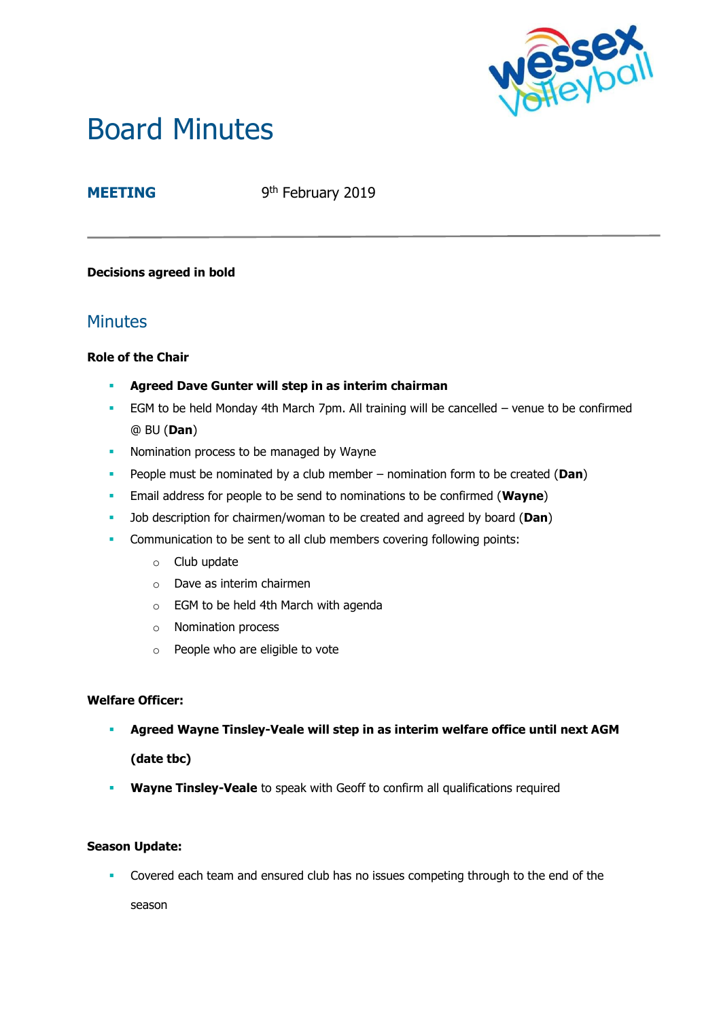

# Board Minutes

# **MEETING**

9<sup>th</sup> February 2019

## **Decisions agreed in bold**

# **Minutes**

## **Role of the Chair**

- **Agreed Dave Gunter will step in as interim chairman**
- EGM to be held Monday 4th March 7pm. All training will be cancelled venue to be confirmed @ BU (**Dan**)
- **Nomination process to be managed by Wayne**
- People must be nominated by a club member nomination form to be created (**Dan**)
- Email address for people to be send to nominations to be confirmed (**Wayne**)
- Job description for chairmen/woman to be created and agreed by board (**Dan**)
- **Communication to be sent to all club members covering following points:** 
	- o Club update
	- o Dave as interim chairmen
	- o EGM to be held 4th March with agenda
	- o Nomination process
	- o People who are eligible to vote

#### **Welfare Officer:**

▪ **Agreed Wayne Tinsley-Veale will step in as interim welfare office until next AGM** 

**(date tbc)**

**· Wayne Tinsley-Veale** to speak with Geoff to confirm all qualifications required

#### **Season Update:**

**•** Covered each team and ensured club has no issues competing through to the end of the

season